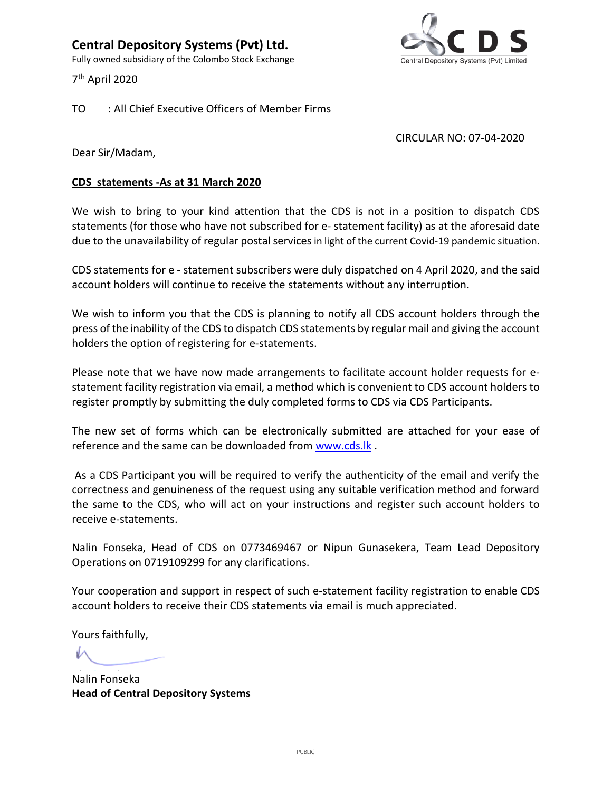**Central Depository Systems (Pvt) Ltd.** Fully owned subsidiary of the Colombo Stock Exchange

7 th April 2020



TO : All Chief Executive Officers of Member Firms

## CIRCULAR NO: 07-04-2020

Dear Sir/Madam,

## **CDS statements -As at 31 March 2020**

We wish to bring to your kind attention that the CDS is not in a position to dispatch CDS statements (for those who have not subscribed for e- statement facility) as at the aforesaid date due to the unavailability of regular postal services in light of the current Covid-19 pandemic situation.

CDS statements for e - statement subscribers were duly dispatched on 4 April 2020, and the said account holders will continue to receive the statements without any interruption.

We wish to inform you that the CDS is planning to notify all CDS account holders through the press of the inability of the CDS to dispatch CDS statements by regular mail and giving the account holders the option of registering for e-statements.

Please note that we have now made arrangements to facilitate account holder requests for estatement facility registration via email, a method which is convenient to CDS account holders to register promptly by submitting the duly completed forms to CDS via CDS Participants.

The new set of forms which can be electronically submitted are attached for your ease of reference and the same can be downloaded from [www.cds.lk](http://www.cds.lk/) .

As a CDS Participant you will be required to verify the authenticity of the email and verify the correctness and genuineness of the request using any suitable verification method and forward the same to the CDS, who will act on your instructions and register such account holders to receive e-statements.

Nalin Fonseka, Head of CDS on 0773469467 or Nipun Gunasekera, Team Lead Depository Operations on 0719109299 for any clarifications.

Your cooperation and support in respect of such e-statement facility registration to enable CDS account holders to receive their CDS statements via email is much appreciated.

Yours faithfully,

Nalin Fonseka **Head of Central Depository Systems**